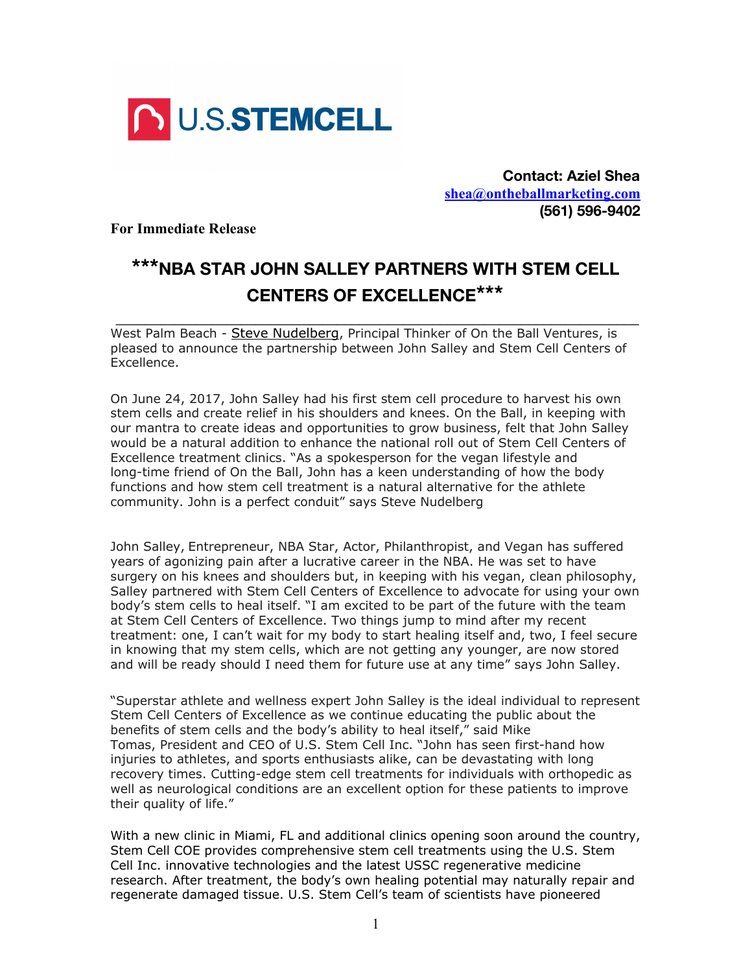

**Contact: Aziel Shea [shea@ontheballmarketing.com](mailto:isabellrossignol@gmail.com) (561) 596-9402**

**For Immediate Release**

## **\*\*\*NBA STAR JOHN SALLEY PARTNERS WITH STEM CELL CENTERS OF EXCELLENCE\*\*\***

 **\_\_\_\_\_\_\_\_\_\_\_\_\_\_\_\_\_\_\_\_\_\_\_\_\_\_\_\_\_\_\_\_\_\_\_\_\_\_\_\_\_\_\_\_\_\_\_\_\_\_\_\_\_\_\_\_\_\_\_\_\_\_\_\_\_\_\_\_\_\_\_**

West Palm Beach - [Steve Nudelberg](https://www.linkedin.com/in/stevenudelberg/), Principal Thinker of On the Ball Ventures, is pleased to announce the partnership between John Salley and Stem Cell Centers of Excellence.

On June 24, 2017, John Salley had his first stem cell procedure to harvest his own stem cells and create relief in his shoulders and knees. On the Ball, in keeping with our mantra to create ideas and opportunities to grow business, felt that John Salley would be a natural addition to enhance the national roll out of Stem Cell Centers of Excellence treatment clinics. "As a spokesperson for the vegan lifestyle and long-time friend of On the Ball, John has a keen understanding of how the body functions and how stem cell treatment is a natural alternative for the athlete community. John is a perfect conduit" says Steve Nudelberg

John Salley, Entrepreneur, NBA Star, Actor, Philanthropist, and Vegan has suffered years of agonizing pain after a lucrative career in the NBA. He was set to have surgery on his knees and shoulders but, in keeping with his vegan, clean philosophy, Salley partnered with Stem Cell Centers of Excellence to advocate for using your own body's stem cells to heal itself. "I am excited to be part of the future with the team at Stem Cell Centers of Excellence. Two things jump to mind after my recent treatment: one, I can't wait for my body to start healing itself and, two, I feel secure in knowing that my stem cells, which are not getting any younger, are now stored and will be ready should I need them for future use at any time" says John Salley.

"Superstar athlete and wellness expert John Salley is the ideal individual to represent Stem Cell Centers of Excellence as we continue educating the public about the benefits of stem cells and the body's ability to heal itself," said Mike Tomas, President and CEO of U.S. Stem Cell Inc. "John has seen first-hand how injuries to athletes, and sports enthusiasts alike, can be devastating with long recovery times. Cutting-edge stem cell treatments for individuals with orthopedic as well as neurological conditions are an excellent option for these patients to improve their quality of life."

With a new clinic in Miami, FL and additional clinics opening soon around the country, Stem Cell COE provides comprehensive stem cell treatments using the U.S. Stem Cell Inc. innovative technologies and the latest USSC regenerative medicine research. After treatment, the body's own healing potential may naturally repair and regenerate damaged tissue. U.S. Stem Cell's team of scientists have pioneered